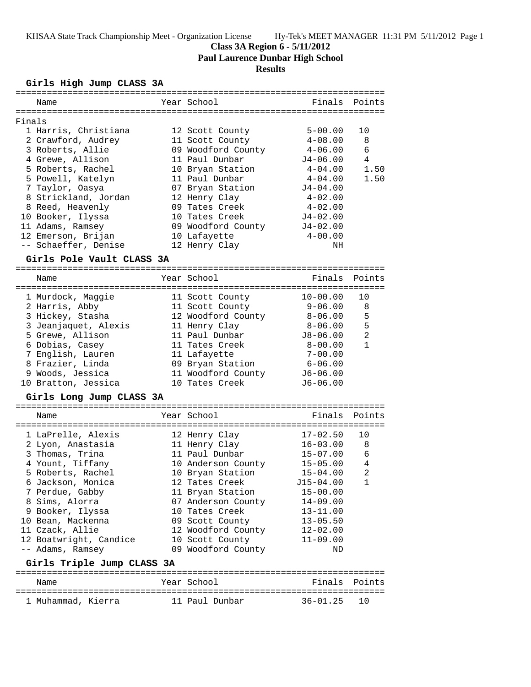# **Class 3A Region 6 - 5/11/2012**

**Paul Laurence Dunbar High School**

# **Results**

# **Girls High Jump CLASS 3A**

|        | Name                                 | Year School        | Finals                            | Points         |
|--------|--------------------------------------|--------------------|-----------------------------------|----------------|
|        |                                      |                    |                                   |                |
| Finals |                                      |                    |                                   |                |
|        | 1 Harris, Christiana                 | 12 Scott County    | $5 - 00.00$                       | 10             |
|        | 2 Crawford, Audrey                   | 11 Scott County    | $4 - 08.00$                       | 8              |
|        | 3 Roberts, Allie                     | 09 Woodford County | $4 - 06.00$                       | 6              |
|        | 4 Grewe, Allison                     | 11 Paul Dunbar     | J4-06.00                          | 4              |
|        | 5 Roberts, Rachel                    | 10 Bryan Station   | $4 - 04.00$                       | 1.50           |
|        | 5 Powell, Katelyn                    | 11 Paul Dunbar     | $4 - 04.00$                       | 1.50           |
|        | 7 Taylor, Oasya                      | 07 Bryan Station   | $J4 - 04.00$                      |                |
|        | 8 Strickland, Jordan                 | 12 Henry Clay      | $4 - 02.00$                       |                |
|        | 8 Reed, Heavenly                     | 09 Tates Creek     | $4 - 02.00$                       |                |
|        | 10 Booker, Ilyssa                    | 10 Tates Creek     | $J4 - 02.00$                      |                |
|        | 11 Adams, Ramsey                     | 09 Woodford County | $J4 - 02.00$                      |                |
|        | 12 Emerson, Brijan                   | 10 Lafayette       | $4 - 00.00$                       |                |
|        | -- Schaeffer, Denise                 |                    | NH                                |                |
|        |                                      | 12 Henry Clay      |                                   |                |
|        | Girls Pole Vault CLASS 3A            |                    |                                   |                |
|        | Name                                 | Year School        | Finals                            | Points         |
|        | ==================================== |                    | :================================ |                |
|        | 1 Murdock, Maggie                    | 11 Scott County    | $10 - 00.00$                      | 10             |
|        | 2 Harris, Abby                       | 11 Scott County    | 9-06.00                           | 8              |
|        |                                      |                    |                                   |                |
|        | 3 Hickey, Stasha                     | 12 Woodford County | 8-06.00                           | 5              |
|        | 3 Jeanjaquet, Alexis                 | 11 Henry Clay      | $8 - 06.00$                       | 5              |
|        | 5 Grewe, Allison                     | 11 Paul Dunbar     | $J8 - 06.00$                      | $\overline{2}$ |
|        | 6 Dobias, Casey                      | 11 Tates Creek     | $8 - 00.00$                       | $\mathbf{1}$   |
|        | 7 English, Lauren                    | 11 Lafayette       | $7 - 00.00$                       |                |
|        | 8 Frazier, Linda                     | 09 Bryan Station   | $6 - 06.00$                       |                |
|        | 9 Woods, Jessica                     | 11 Woodford County | $J6 - 06.00$                      |                |
|        | 10 Bratton, Jessica                  | 10 Tates Creek     | $J6 - 06.00$                      |                |
|        | Girls Long Jump CLASS 3A             |                    |                                   |                |
|        |                                      |                    |                                   |                |
|        | Name                                 | Year School        | Finals                            | Points         |
|        |                                      |                    |                                   |                |
|        | 1 LaPrelle, Alexis                   | 12 Henry Clay      | $17 - 02.50$                      | 10             |
|        | 2 Lyon, Anastasia                    | 11 Henry Clay      | $16 - 03.00$                      | 8              |
|        | 3 Thomas, Trina                      | 11 Paul Dunbar     | $15 - 07.00$                      | 6              |
|        | 4 Yount, Tiffany                     | 10 Anderson County | $15 - 05.00$                      | 4              |
|        | 5 Roberts, Rachel                    | 10 Bryan Station   | $15 - 04.00$                      | $\overline{2}$ |
|        | 6 Jackson, Monica                    | 12 Tates Creek     | $J15 - 04.00$                     | 1              |
|        | 7 Perdue, Gabby                      | 11 Bryan Station   | $15 - 00.00$                      |                |
|        | 8 Sims, Alorra                       | 07 Anderson County | $14 - 09.00$                      |                |
|        | 9 Booker, Ilyssa                     | 10 Tates Creek     | $13 - 11.00$                      |                |
|        | 10 Bean, Mackenna                    | 09 Scott County    | $13 - 05.50$                      |                |
|        | 11 Czack, Allie                      | 12 Woodford County | $12 - 02.00$                      |                |
|        | 12 Boatwright, Candice               | 10 Scott County    | $11 - 09.00$                      |                |
|        | -- Adams, Ramsey                     | 09 Woodford County | ND                                |                |
|        | Girls Triple Jump CLASS 3A           |                    |                                   |                |
|        |                                      |                    |                                   | Points         |
|        | Name                                 | Year School        | Finals                            |                |
|        | 1 Muhammad, Kierra                   | 11 Paul Dunbar     | $36 - 01.25$                      | 10             |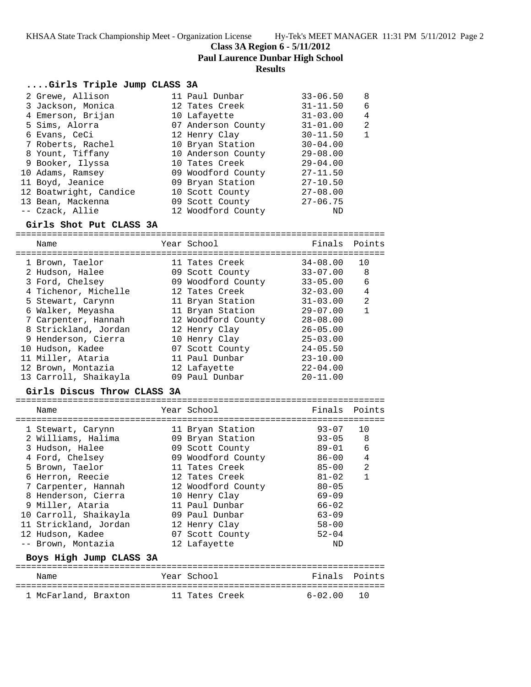**Class 3A Region 6 - 5/11/2012**

**Paul Laurence Dunbar High School**

#### **Results**

## **....Girls Triple Jump CLASS 3A**

| 2 Grewe, Allison       | 11 Paul Dunbar     | $33 - 06.50$ | 8 |
|------------------------|--------------------|--------------|---|
| 3 Jackson, Monica      | 12 Tates Creek     | $31 - 11.50$ | 6 |
| 4 Emerson, Brijan      | 10 Lafayette       | $31 - 03.00$ | 4 |
| 5 Sims, Alorra         | 07 Anderson County | $31 - 01.00$ | 2 |
| 6 Evans, CeCi          | 12 Henry Clay      | $30 - 11.50$ | 1 |
| 7 Roberts, Rachel      | 10 Bryan Station   | $30 - 04.00$ |   |
| 8 Yount, Tiffany       | 10 Anderson County | $29 - 08.00$ |   |
| 9 Booker, Ilyssa       | 10 Tates Creek     | $29 - 04.00$ |   |
| 10 Adams, Ramsey       | 09 Woodford County | $27 - 11.50$ |   |
| 11 Boyd, Jeanice       | 09 Bryan Station   | $27 - 10.50$ |   |
| 12 Boatwright, Candice | 10 Scott County    | $27 - 08.00$ |   |
| 13 Bean, Mackenna      | 09 Scott County    | $27 - 06.75$ |   |
| -- Czack, Allie        | 12 Woodford County | ND           |   |

## **Girls Shot Put CLASS 3A**

======================================================================= Name The Year School Team Points Points ======================================================================= 1 Brown, Taelor 11 Tates Creek 34-08.00 10 2 Hudson, Halee 09 Scott County 33-07.00 8 3 Ford, Chelsey 09 Woodford County 33-05.00 6 4 Tichenor, Michelle 12 Tates Creek 32-03.00 4 5 Stewart, Carynn 11 Bryan Station 31-03.00 2 6 Walker, Meyasha 11 Bryan Station 29-07.00 1 7 Carpenter, Hannah 12 Woodford County 28-08.00 8 Strickland, Jordan 12 Henry Clay 26-05.00 9 Henderson, Cierra 10 Henry Clay 25-03.00 10 Hudson, Kadee 07 Scott County 24-05.50 11 Miller, Ataria 11 Paul Dunbar 23-10.00

 12 Brown, Montazia 12 Lafayette 22-04.00 13 Carroll, Shaikayla 09 Paul Dunbar 20-11.00

#### **Girls Discus Throw CLASS 3A**

| Name                    | Year School        | Finals      | Points         |
|-------------------------|--------------------|-------------|----------------|
| 1 Stewart, Carynn       | 11 Bryan Station   | $93 - 07$   | 10             |
| 2 Williams, Halima      | 09 Bryan Station   | $93 - 05$   | 8              |
| 3 Hudson, Halee         | 09 Scott County    | 89-01       | 6              |
| 4 Ford, Chelsey         | 09 Woodford County | 86-00       | $\overline{4}$ |
| 5 Brown, Taelor         | 11 Tates Creek     | $85 - 00$   | 2              |
| 6 Herron, Reecie        | 12 Tates Creek     | $81 - 02$   | 1              |
| 7 Carpenter, Hannah     | 12 Woodford County | $80 - 05$   |                |
| 8 Henderson, Cierra     | 10 Henry Clay      | $69 - 09$   |                |
| 9 Miller, Ataria        | 11 Paul Dunbar     | $66 - 02$   |                |
| 10 Carroll, Shaikayla   | 09 Paul Dunbar     | $63 - 09$   |                |
| 11 Strickland, Jordan   | 12 Henry Clay      | $58 - 00$   |                |
| 12 Hudson, Kadee        | 07 Scott County    | $52 - 04$   |                |
| -- Brown, Montazia      | 12 Lafayette       | ND          |                |
| Boys High Jump CLASS 3A |                    |             |                |
| Name                    | Year School        | Finals      | Points         |
| 1 McFarland, Braxton    | 11 Tates Creek     | $6 - 02.00$ | 10             |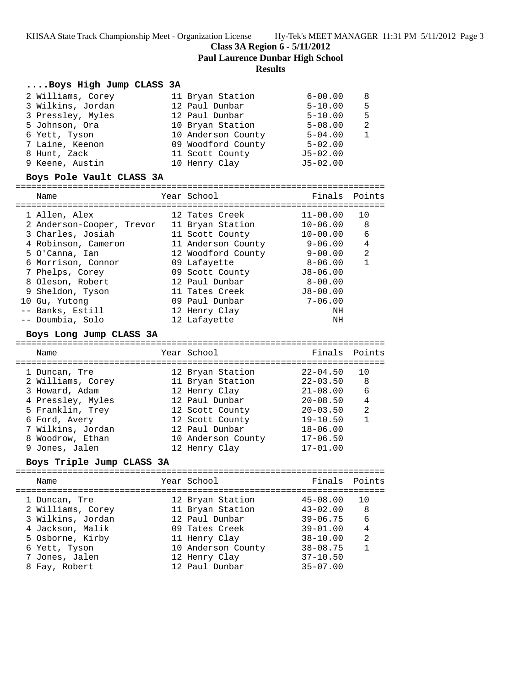**Class 3A Region 6 - 5/11/2012**

**Paul Laurence Dunbar High School**

## **Results**

## **....Boys High Jump CLASS 3A**

|              | 2 Williams, Corey | 11 Bryan Station   | $6 - 00.00$  | 8             |
|--------------|-------------------|--------------------|--------------|---------------|
|              | 3 Wilkins, Jordan | 12 Paul Dunbar     | $5 - 10.00$  | 5             |
|              | 3 Pressley, Myles | 12 Paul Dunbar     | $5 - 10.00$  | 5             |
|              | 5 Johnson, Ora    | 10 Bryan Station   | $5 - 08.00$  | $\mathcal{L}$ |
|              | 6 Yett, Tyson     | 10 Anderson County | $5 - 04.00$  |               |
|              | 7 Laine, Keenon   | 09 Woodford County | $5 - 02.00$  |               |
| 8 Hunt, Zack |                   | 11 Scott County    | $J5 - 02.00$ |               |
|              | 9 Keene, Austin   | 10 Henry Clay      | $J5 - 02.00$ |               |

# **Boys Pole Vault CLASS 3A**

| Name                      | Year School        | Finals Points |    |
|---------------------------|--------------------|---------------|----|
| 1 Allen, Alex             | 12 Tates Creek     | $11 - 00.00$  | 10 |
| 2 Anderson-Cooper, Trevor | 11 Bryan Station   | $10 - 06.00$  | 8  |
| 3 Charles, Josiah         | 11 Scott County    | $10 - 00.00$  | 6  |
| 4 Robinson, Cameron       | 11 Anderson County | $9 - 06.00$   | 4  |
| 5 O'Canna, Ian            | 12 Woodford County | $9 - 00.00$   | 2  |
| 6 Morrison, Connor        | 09 Lafayette       | $8 - 06.00$   | 1  |
| 7 Phelps, Corey           | 09 Scott County    | $J8 - 06.00$  |    |
| 8 Oleson, Robert          | 12 Paul Dunbar     | $8 - 00.00$   |    |
| 9 Sheldon, Tyson          | 11 Tates Creek     | $J8 - 00.00$  |    |
| 10 Gu, Yutong             | 09 Paul Dunbar     | $7 - 06.00$   |    |
| -- Banks, Estill          | 12 Henry Clay      | NΗ            |    |
| -- Doumbia, Solo          | 12 Lafayette       | ΝH            |    |

#### **Boys Long Jump CLASS 3A**

======================================================================= Name Year School Finals Points ======================================================================= 1 Duncan, Tre 12 Bryan Station 22-04.50 10 2 Williams, Corey 11 Bryan Station 22-03.50 8 3 Howard, Adam 12 Henry Clay 21-08.00 6 4 Pressley, Myles 12 Paul Dunbar 20-08.50 4 5 Franklin, Trey 12 Scott County 20-03.50 2 6 Ford, Avery 12 Scott County 19-10.50 1 7 Wilkins, Jordan 12 Paul Dunbar 18-06.00 8 Woodrow, Ethan 10 Anderson County 17-06.50 9 Jones, Jalen 12 Henry Clay 17-01.00

# **Boys Triple Jump CLASS 3A**

| Name                                                                                                                               | Year School                                                                                                                                        | Finals Points                                                                                                                |                                        |
|------------------------------------------------------------------------------------------------------------------------------------|----------------------------------------------------------------------------------------------------------------------------------------------------|------------------------------------------------------------------------------------------------------------------------------|----------------------------------------|
| 1 Duncan, Tre<br>2 Williams, Corey<br>3 Wilkins, Jordan<br>4 Jackson, Malik<br>5 Osborne, Kirby<br>6 Yett, Tyson<br>7 Jones, Jalen | 12 Bryan Station<br>11 Bryan Station<br>12 Paul Dunbar<br>09 Tates Creek<br>11 Henry Clay<br>10 Anderson County<br>12 Henry Clay<br>12 Paul Dunbar | $45 - 08.00$<br>$43 - 02.00$<br>$39 - 06.75$<br>$39 - 01.00$<br>$38 - 10.00$<br>$38 - 08.75$<br>$37 - 10.50$<br>$35 - 07.00$ | 1 O<br>-8<br>-6<br>$\overline{4}$<br>2 |
| 8 Fay, Robert                                                                                                                      |                                                                                                                                                    |                                                                                                                              |                                        |
|                                                                                                                                    |                                                                                                                                                    |                                                                                                                              |                                        |